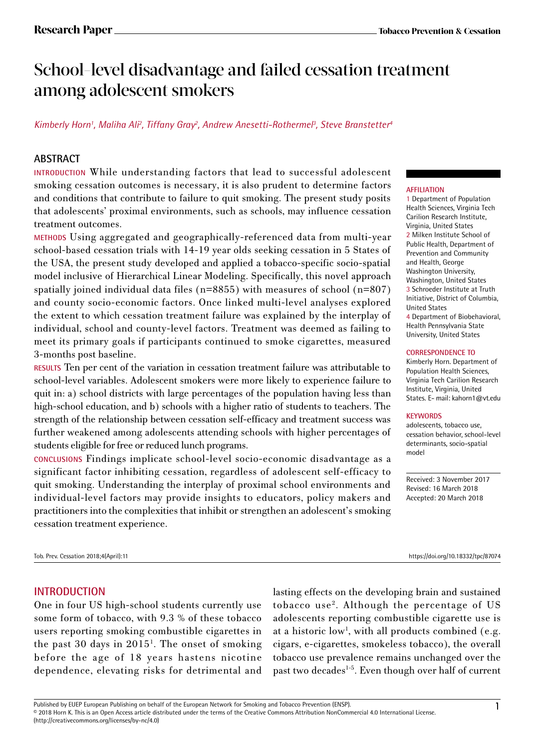# School-level disadvantage and failed cessation treatment among adolescent smokers

## *Kimberly Horn1 , Maliha Ali2 , Tiffany Gray2 , Andrew Anesetti-Rothermel3 , Steve Branstetter4*

## **ABSTRACT**

**INTRODUCTION** While understanding factors that lead to successful adolescent smoking cessation outcomes is necessary, it is also prudent to determine factors and conditions that contribute to failure to quit smoking. The present study posits that adolescents' proximal environments, such as schools, may influence cessation treatment outcomes.

**METHODS** Using aggregated and geographically-referenced data from multi-year school-based cessation trials with 14-19 year olds seeking cessation in 5 States of the USA, the present study developed and applied a tobacco-specific socio-spatial model inclusive of Hierarchical Linear Modeling. Specifically, this novel approach spatially joined individual data files (n=8855) with measures of school (n=807) and county socio-economic factors. Once linked multi-level analyses explored the extent to which cessation treatment failure was explained by the interplay of individual, school and county-level factors. Treatment was deemed as failing to meet its primary goals if participants continued to smoke cigarettes, measured 3-months post baseline.

**RESULTS** Ten per cent of the variation in cessation treatment failure was attributable to school-level variables. Adolescent smokers were more likely to experience failure to quit in: a) school districts with large percentages of the population having less than high-school education, and b) schools with a higher ratio of students to teachers. The strength of the relationship between cessation self-efficacy and treatment success was further weakened among adolescents attending schools with higher percentages of students eligible for free or reduced lunch programs.

**CONCLUSIONS** Findings implicate school-level socio-economic disadvantage as a significant factor inhibiting cessation, regardless of adolescent self-efficacy to quit smoking. Understanding the interplay of proximal school environments and individual-level factors may provide insights to educators, policy makers and practitioners into the complexities that inhibit or strengthen an adolescent's smoking cessation treatment experience.

### **AFFILIATION**

1 Department of Population Health Sciences, Virginia Tech Carilion Research Institute, Virginia, United States 2 Milken Institute School of Public Health, Department of Prevention and Community and Health, George Washington University, Washington, United States 3 Schroeder Institute at Truth Initiative, District of Columbia, United States 4 Department of Biobehavioral, Health Pennsylvania State University, United States

#### **CORRESPONDENCE TO**

Kimberly Horn. Department of Population Health Sciences, Virginia Tech Carilion Research Institute, Virginia, United States. E- mail: kahorn1@vt.edu

#### **KEYWORDS**

adolescents, tobacco use, cessation behavior, school-level determinants, socio-spatial model

Received: 3 November 2017 Revised: 16 March 2018 Accepted: 20 March 2018

Tob. Prev. Cessation 2018;4(April):11 https://doi.org/10.18332/tpc/87074

## **INTRODUCTION**

One in four US high-school students currently use some form of tobacco, with 9.3 % of these tobacco users reporting smoking combustible cigarettes in the past 30 days in 2015<sup>1</sup>. The onset of smoking before the age of 18 years hastens nicotine dependence, elevating risks for detrimental and

lasting effects on the developing brain and sustained tobacco use2. Although the percentage of US adolescents reporting combustible cigarette use is at a historic low<sup>1</sup>, with all products combined (e.g. cigars, e-cigarettes, smokeless tobacco), the overall tobacco use prevalence remains unchanged over the past two decades<sup>1-5</sup>. Even though over half of current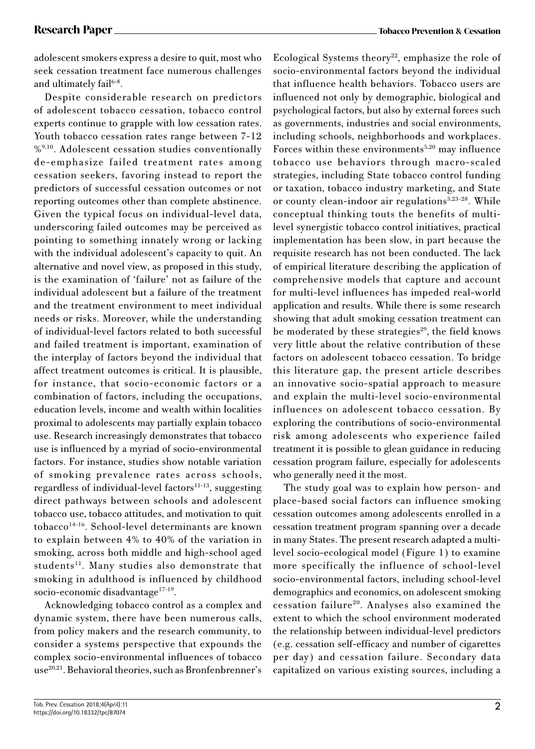adolescent smokers express a desire to quit, most who seek cessation treatment face numerous challenges and ultimately fail<sup>6-8</sup>.

Despite considerable research on predictors of adolescent tobacco cessation, tobacco control experts continue to grapple with low cessation rates. Youth tobacco cessation rates range between 7-12 %<sup>9,10</sup>. Adolescent cessation studies conventionally de-emphasize failed treatment rates among cessation seekers, favoring instead to report the predictors of successful cessation outcomes or not reporting outcomes other than complete abstinence. Given the typical focus on individual-level data, underscoring failed outcomes may be perceived as pointing to something innately wrong or lacking with the individual adolescent's capacity to quit. An alternative and novel view, as proposed in this study, is the examination of 'failure' not as failure of the individual adolescent but a failure of the treatment and the treatment environment to meet individual needs or risks. Moreover, while the understanding of individual-level factors related to both successful and failed treatment is important, examination of the interplay of factors beyond the individual that affect treatment outcomes is critical. It is plausible, for instance, that socio-economic factors or a combination of factors, including the occupations, education levels, income and wealth within localities proximal to adolescents may partially explain tobacco use. Research increasingly demonstrates that tobacco use is influenced by a myriad of socio-environmental factors. For instance, studies show notable variation of smoking prevalence rates across schools, regardless of individual-level factors $11-13$ , suggesting direct pathways between schools and adolescent tobacco use, tobacco attitudes, and motivation to quit tobacco14-16. School-level determinants are known to explain between 4% to 40% of the variation in smoking, across both middle and high-school aged students<sup>11</sup>. Many studies also demonstrate that smoking in adulthood is influenced by childhood socio-economic disadvantage<sup>17-19</sup>.

Acknowledging tobacco control as a complex and dynamic system, there have been numerous calls, from policy makers and the research community, to consider a systems perspective that expounds the complex socio-environmental influences of tobacco use<sup>20,21</sup>. Behavioral theories, such as Bronfenbrenner's

Ecological Systems theory<sup>22</sup>, emphasize the role of socio-environmental factors beyond the individual that influence health behaviors. Tobacco users are influenced not only by demographic, biological and psychological factors, but also by external forces such as governments, industries and social environments, including schools, neighborhoods and workplaces. Forces within these environments<sup>5,20</sup> may influence tobacco use behaviors through macro-scaled strategies, including State tobacco control funding or taxation, tobacco industry marketing, and State or county clean-indoor air regulations<sup>3,23-28</sup>. While conceptual thinking touts the benefits of multilevel synergistic tobacco control initiatives, practical implementation has been slow, in part because the requisite research has not been conducted. The lack of empirical literature describing the application of comprehensive models that capture and account for multi-level influences has impeded real-world application and results. While there is some research showing that adult smoking cessation treatment can be moderated by these strategies $29$ , the field knows very little about the relative contribution of these factors on adolescent tobacco cessation. To bridge this literature gap, the present article describes an innovative socio-spatial approach to measure and explain the multi-level socio-environmental influences on adolescent tobacco cessation. By exploring the contributions of socio-environmental risk among adolescents who experience failed treatment it is possible to glean guidance in reducing cessation program failure, especially for adolescents who generally need it the most.

The study goal was to explain how person- and place-based social factors can influence smoking cessation outcomes among adolescents enrolled in a cessation treatment program spanning over a decade in many States. The present research adapted a multilevel socio-ecological model (Figure 1) to examine more specifically the influence of school-level socio-environmental factors, including school-level demographics and economics, on adolescent smoking cessation failure20. Analyses also examined the extent to which the school environment moderated the relationship between individual-level predictors (e.g. cessation self-efficacy and number of cigarettes per day) and cessation failure. Secondary data capitalized on various existing sources, including a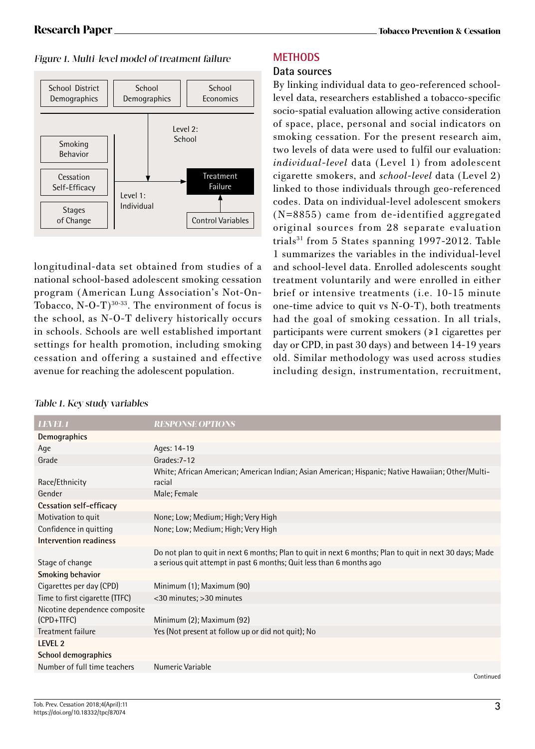### Figure 1. Multi-level model of treatment failure



longitudinal-data set obtained from studies of a national school-based adolescent smoking cessation program (American Lung Association's Not-On-Tobacco,  $N-O-T$ <sup>30-33</sup>. The environment of focus is the school, as N-O-T delivery historically occurs in schools. Schools are well established important settings for health promotion, including smoking cessation and offering a sustained and effective avenue for reaching the adolescent population.

## **METHODS**

### **Data sources**

By linking individual data to geo-referenced schoollevel data, researchers established a tobacco-specific socio-spatial evaluation allowing active consideration of space, place, personal and social indicators on smoking cessation. For the present research aim, two levels of data were used to fulfil our evaluation: *individual-level* data (Level 1) from adolescent cigarette smokers, and *school-level* data (Level 2) linked to those individuals through geo-referenced codes. Data on individual-level adolescent smokers (N=8855) came from de-identified aggregated original sources from 28 separate evaluation trials<sup>31</sup> from 5 States spanning 1997-2012. Table 1 summarizes the variables in the individual-level and school-level data. Enrolled adolescents sought treatment voluntarily and were enrolled in either brief or intensive treatments (i.e. 10-15 minute one-time advice to quit vs N-O-T), both treatments had the goal of smoking cessation. In all trials, participants were current smokers (≥1 cigarettes per day or CPD, in past 30 days) and between 14-19 years old. Similar methodology was used across studies including design, instrumentation, recruitment,

| <b>LEVEL 1</b>                              | <b>RESPONSE OPTIONS</b>                                                                                                                                                         |
|---------------------------------------------|---------------------------------------------------------------------------------------------------------------------------------------------------------------------------------|
| Demographics                                |                                                                                                                                                                                 |
| Age                                         | Ages: 14-19                                                                                                                                                                     |
| Grade                                       | Grades: 7-12                                                                                                                                                                    |
| Race/Ethnicity                              | White; African American; American Indian; Asian American; Hispanic; Native Hawaiian; Other/Multi-<br>racial                                                                     |
| Gender                                      | Male; Female                                                                                                                                                                    |
| Cessation self-efficacy                     |                                                                                                                                                                                 |
| Motivation to quit                          | None; Low; Medium; High; Very High                                                                                                                                              |
| Confidence in quitting                      | None; Low; Medium; High; Very High                                                                                                                                              |
| Intervention readiness                      |                                                                                                                                                                                 |
| Stage of change                             | Do not plan to quit in next 6 months; Plan to quit in next 6 months; Plan to quit in next 30 days; Made<br>a serious quit attempt in past 6 months; Quit less than 6 months ago |
| <b>Smoking behavior</b>                     |                                                                                                                                                                                 |
| Cigarettes per day (CPD)                    | Minimum (1); Maximum (90)                                                                                                                                                       |
| Time to first cigarette (TTFC)              | <30 minutes; >30 minutes                                                                                                                                                        |
| Nicotine dependence composite<br>(CPD+TTFC) | Minimum (2); Maximum (92)                                                                                                                                                       |
| Treatment failure                           | Yes (Not present at follow up or did not quit); No                                                                                                                              |
| LEVEL <sub>2</sub>                          |                                                                                                                                                                                 |
| School demographics                         |                                                                                                                                                                                 |
| Number of full time teachers                | Numeric Variable                                                                                                                                                                |
|                                             | Continued                                                                                                                                                                       |

### Table 1. Key study variables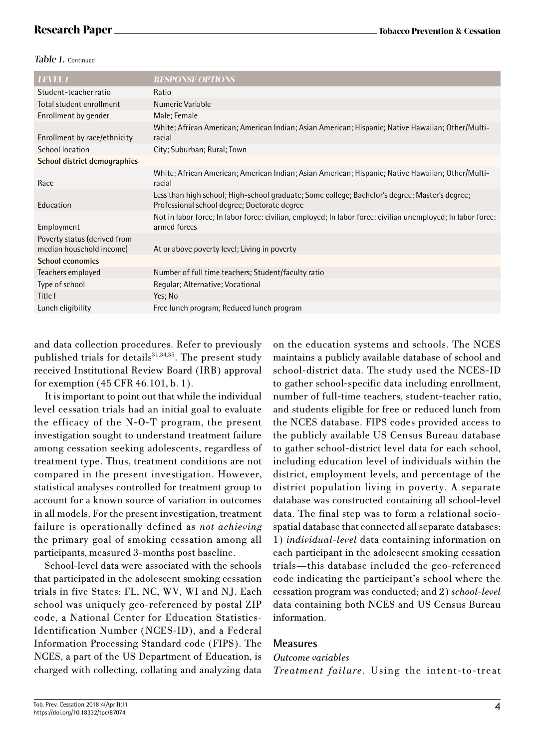### Table 1. Continued

| <b>LEVEL 1</b>                                           | <b>RESPONSE OPTIONS</b>                                                                                                                        |
|----------------------------------------------------------|------------------------------------------------------------------------------------------------------------------------------------------------|
| Student-teacher ratio                                    | Ratio                                                                                                                                          |
| Total student enrollment                                 | Numeric Variable                                                                                                                               |
| Enrollment by gender                                     | Male; Female                                                                                                                                   |
| Enrollment by race/ethnicity                             | White; African American; American Indian; Asian American; Hispanic; Native Hawaiian; Other/Multi-<br>racial                                    |
| School location                                          | City; Suburban; Rural; Town                                                                                                                    |
| School district demographics                             |                                                                                                                                                |
| Race                                                     | White; African American; American Indian; Asian American; Hispanic; Native Hawaiian; Other/Multi-<br>racial                                    |
| Education                                                | Less than high school; High-school graduate; Some college; Bachelor's degree; Master's degree;<br>Professional school degree; Doctorate degree |
| Employment                                               | Not in labor force; In labor force: civilian, employed; In labor force: civilian unemployed; In labor force:<br>armed forces                   |
| Poverty status (derived from<br>median household income) | At or above poverty level; Living in poverty                                                                                                   |
| <b>School economics</b>                                  |                                                                                                                                                |
| Teachers employed                                        | Number of full time teachers; Student/faculty ratio                                                                                            |
| Type of school                                           | Regular; Alternative; Vocational                                                                                                               |
| Title I                                                  | Yes; No                                                                                                                                        |
| Lunch eligibility                                        | Free lunch program; Reduced lunch program                                                                                                      |
|                                                          |                                                                                                                                                |

and data collection procedures. Refer to previously published trials for details<sup>31,34,35</sup>. The present study received Institutional Review Board (IRB) approval for exemption (45 CFR 46.101, b. 1).

It is important to point out that while the individual level cessation trials had an initial goal to evaluate the efficacy of the N-O-T program, the present investigation sought to understand treatment failure among cessation seeking adolescents, regardless of treatment type. Thus, treatment conditions are not compared in the present investigation. However, statistical analyses controlled for treatment group to account for a known source of variation in outcomes in all models. For the present investigation, treatment failure is operationally defined as *not achieving*  the primary goal of smoking cessation among all participants, measured 3-months post baseline.

School-level data were associated with the schools that participated in the adolescent smoking cessation trials in five States: FL, NC, WV, WI and NJ. Each school was uniquely geo-referenced by postal ZIP code, a National Center for Education Statistics-Identification Number (NCES-ID), and a Federal Information Processing Standard code (FIPS). The NCES, a part of the US Department of Education, is charged with collecting, collating and analyzing data on the education systems and schools. The NCES maintains a publicly available database of school and school-district data. The study used the NCES-ID to gather school-specific data including enrollment, number of full-time teachers, student-teacher ratio, and students eligible for free or reduced lunch from the NCES database. FIPS codes provided access to the publicly available US Census Bureau database to gather school-district level data for each school, including education level of individuals within the district, employment levels, and percentage of the district population living in poverty. A separate database was constructed containing all school-level data. The final step was to form a relational sociospatial database that connected all separate databases: 1) *individual-level* data containing information on each participant in the adolescent smoking cessation trials—this database included the geo-referenced code indicating the participant's school where the cessation program was conducted; and 2) *school-level* data containing both NCES and US Census Bureau information.

## **Measures**

*Outcome variables Treatment failure.* Using the intent-to-treat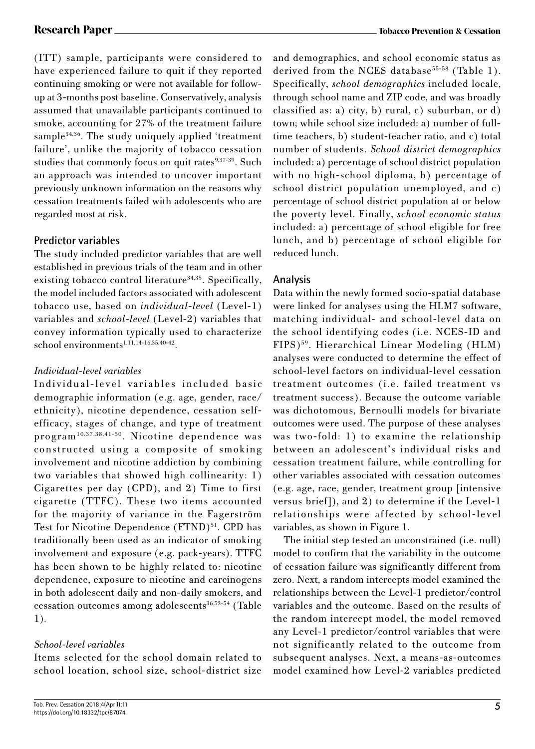**Research Paper Tobacco Prevention & Cessation**

(ITT) sample, participants were considered to have experienced failure to quit if they reported continuing smoking or were not available for followup at 3-months post baseline. Conservatively, analysis assumed that unavailable participants continued to smoke, accounting for 27% of the treatment failure sample<sup>34,36</sup>. The study uniquely applied 'treatment failure', unlike the majority of tobacco cessation studies that commonly focus on quit rates $9,37-39$ . Such an approach was intended to uncover important previously unknown information on the reasons why cessation treatments failed with adolescents who are regarded most at risk.

## **Predictor variables**

The study included predictor variables that are well established in previous trials of the team and in other existing tobacco control literature<sup>34,35</sup>. Specifically, the model included factors associated with adolescent tobacco use, based on *individual-level* (Level-1) variables and *school-level* (Level-2) variables that convey information typically used to characterize  $school$  environments<sup>1,11,14-16,35,40-42</sup>.

## *Individual-level variables*

Individual-level variables included basic demographic information (e.g. age, gender, race/ ethnicity), nicotine dependence, cessation selfefficacy, stages of change, and type of treatment program10,37,38,41-50. Nicotine dependence was constructed using a composite of smoking involvement and nicotine addiction by combining two variables that showed high collinearity: 1) Cigarettes per day (CPD), and 2) Time to first cigarette (TTFC). These two items accounted for the majority of variance in the Fagerström Test for Nicotine Dependence (FTND)<sup>51</sup>. CPD has traditionally been used as an indicator of smoking involvement and exposure (e.g. pack-years). TTFC has been shown to be highly related to: nicotine dependence, exposure to nicotine and carcinogens in both adolescent daily and non-daily smokers, and cessation outcomes among adolescents<sup>36,52-54</sup> (Table 1).

## *School-level variables*

Items selected for the school domain related to school location, school size, school-district size and demographics, and school economic status as derived from the NCES database<sup>55-58</sup> (Table 1). Specifically, *school demographics* included locale, through school name and ZIP code, and was broadly classified as: a) city, b) rural, c) suburban, or d) town; while school size included: a) number of fulltime teachers, b) student-teacher ratio, and c) total number of students. *School district demographics*  included: a) percentage of school district population with no high-school diploma, b) percentage of school district population unemployed, and c) percentage of school district population at or below the poverty level. Finally, *school economic status* included: a) percentage of school eligible for free lunch, and b) percentage of school eligible for reduced lunch.

## **Analysis**

Data within the newly formed socio-spatial database were linked for analyses using the HLM7 software, matching individual- and school-level data on the school identifying codes (i.e. NCES-ID and FIPS)59. Hierarchical Linear Modeling (HLM) analyses were conducted to determine the effect of school-level factors on individual-level cessation treatment outcomes (i.e. failed treatment vs treatment success). Because the outcome variable was dichotomous, Bernoulli models for bivariate outcomes were used. The purpose of these analyses was two-fold: 1) to examine the relationship between an adolescent's individual risks and cessation treatment failure, while controlling for other variables associated with cessation outcomes (e.g. age, race, gender, treatment group [intensive versus brief]), and 2) to determine if the Level-1 relationships were affected by school-level variables, as shown in Figure 1.

The initial step tested an unconstrained (i.e. null) model to confirm that the variability in the outcome of cessation failure was significantly different from zero. Next, a random intercepts model examined the relationships between the Level-1 predictor/control variables and the outcome. Based on the results of the random intercept model, the model removed any Level-1 predictor/control variables that were not significantly related to the outcome from subsequent analyses. Next, a means-as-outcomes model examined how Level-2 variables predicted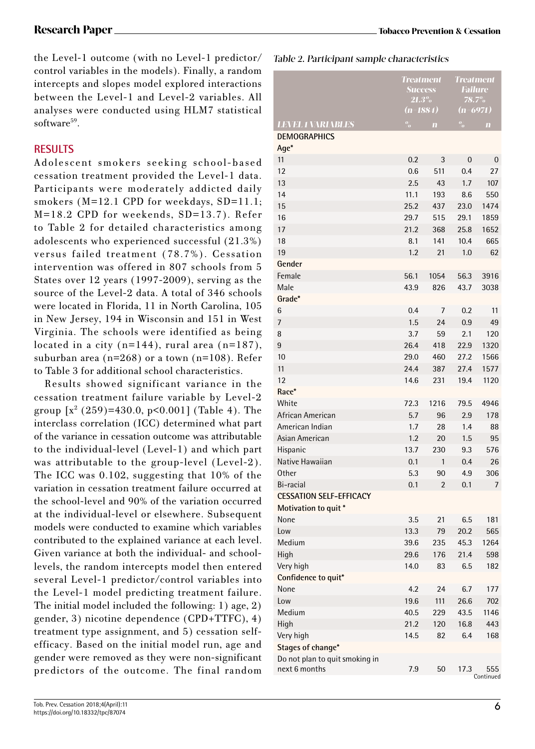the Level-1 outcome (with no Level-1 predictor/ control variables in the models). Finally, a random intercepts and slopes model explored interactions between the Level-1 and Level-2 variables. All analyses were conducted using HLM7 statistical software<sup>59</sup>.

## **RESULTS**

Adolescent smokers seeking school-based cessation treatment provided the Level-1 data. Participants were moderately addicted daily smokers (M=12.1 CPD for weekdays, SD=11.1; M=18.2 CPD for weekends, SD=13.7). Refer to Table 2 for detailed characteristics among adolescents who experienced successful (21.3%) versus failed treatment (78.7%). Cessation intervention was offered in 807 schools from 5 States over 12 years (1997-2009), serving as the source of the Level-2 data. A total of 346 schools were located in Florida, 11 in North Carolina, 105 in New Jersey, 194 in Wisconsin and 151 in West Virginia. The schools were identified as being located in a city  $(n=144)$ , rural area  $(n=187)$ , suburban area (n=268) or a town (n=108). Refer to Table 3 for additional school characteristics.

Results showed significant variance in the cessation treatment failure variable by Level-2 group [χ2 (259)=430.0, p<0.001] (Table 4). The interclass correlation (ICC) determined what part of the variance in cessation outcome was attributable to the individual-level (Level-1) and which part was attributable to the group-level (Level-2). The ICC was 0.102, suggesting that 10% of the variation in cessation treatment failure occurred at the school-level and 90% of the variation occurred at the individual-level or elsewhere. Subsequent models were conducted to examine which variables contributed to the explained variance at each level. Given variance at both the individual- and schoollevels, the random intercepts model then entered several Level-1 predictor/control variables into the Level-1 model predicting treatment failure. The initial model included the following: 1) age, 2) gender, 3) nicotine dependence (CPD+TTFC), 4) treatment type assignment, and 5) cessation selfefficacy. Based on the initial model run, age and gender were removed as they were non-significant predictors of the outcome. The final random

Table 2. Participant sample characteristics

|                                | <b>Treatment</b><br><b>Success</b><br>$21.3\%$<br>$(n=1884)$ |                | <b>Treatment</b><br><b>Failure</b><br>78.7%<br>6971)<br>$(n-$ |                  |
|--------------------------------|--------------------------------------------------------------|----------------|---------------------------------------------------------------|------------------|
| <b>LEVEL 1 VARIABLES</b>       | $\frac{0}{2}$                                                | $\mathbf{m}$   | $\frac{0}{2}$                                                 | $\mathbf{m}$     |
| <b>DEMOGRAPHICS</b><br>Age*    |                                                              |                |                                                               |                  |
| 11                             | 0.2                                                          | 3              | 0                                                             | 0                |
| 12                             | 0.6                                                          | 511            | 0.4                                                           | 27               |
| 13                             | 2.5                                                          | 43             | 1.7                                                           | 107              |
| 14                             | 11.1                                                         | 193            | 8.6                                                           | 550              |
| 15                             | 25.2                                                         | 437            | 23.0                                                          | 1474             |
| 16                             | 29.7                                                         | 515            | 29.1                                                          | 1859             |
| 17                             | 21.2                                                         | 368            | 25.8                                                          | 1652             |
| 18                             | 8.1                                                          | 141            | 10.4                                                          | 665              |
| 19                             | 1.2                                                          | 21             | 1.0                                                           | 62               |
| Gender                         |                                                              |                |                                                               |                  |
| Female                         | 56.1                                                         | 1054           | 56.3                                                          | 3916             |
| Male                           | 43.9                                                         | 826            | 43.7                                                          | 3038             |
| Grade*                         |                                                              |                |                                                               |                  |
| 6                              | 0.4                                                          | 7              | 0.2                                                           | 11               |
| 7                              | 1.5                                                          | 24             | 0.9                                                           | 49               |
| 8                              | 3.7                                                          | 59             | 2.1                                                           | 120              |
| 9                              | 26.4                                                         | 418            | 22.9                                                          | 1320             |
| 10                             | 29.0                                                         | 460            | 27.2                                                          | 1566             |
| 11                             | 24.4                                                         | 387            | 27.4                                                          | 1577             |
| 12                             | 14.6                                                         | 231            | 19.4                                                          | 1120             |
| Race*                          |                                                              |                |                                                               |                  |
| White                          | 72.3                                                         | 1216           | 79.5                                                          | 4946             |
| African American               | 5.7                                                          | 96             | 2.9                                                           | 178              |
| American Indian                | 1.7                                                          | 28             | 1.4                                                           | 88               |
| Asian American                 | 1.2                                                          | 20             | 1.5                                                           | 95               |
| Hispanic                       | 13.7                                                         | 230            | 9.3                                                           | 576              |
| Native Hawaiian                | 0.1                                                          | 1              | 0.4                                                           | 26               |
| <b>Other</b>                   | 5.3                                                          | 90             | 4.9                                                           | 306              |
| Bi-racial                      | 0.1                                                          | $\overline{2}$ | 0.1                                                           | 7                |
| <b>CESSATION SELF-EFFICACY</b> |                                                              |                |                                                               |                  |
| Motivation to quit*            |                                                              |                |                                                               |                  |
| None                           | 3.5                                                          | 21             | 6.5                                                           | 181              |
| Low                            | 13.3                                                         | 79             | 20.2                                                          | 565              |
| Medium                         | 39.6                                                         | 235            | 45.3                                                          | 1264             |
| High                           | 29.6                                                         | 176            | 21.4                                                          | 598              |
| Very high                      | 14.0                                                         | 83             | 6.5                                                           | 182              |
| Confidence to quit*            |                                                              |                |                                                               |                  |
| None                           | 4.2                                                          | 24             | 6.7                                                           | 177              |
| Low                            | 19.6                                                         | 111            | 26.6                                                          | 702              |
| Medium                         | 40.5                                                         | 229            | 43.5                                                          | 1146             |
| High                           | 21.2                                                         | 120            | 16.8                                                          | 443              |
| Very high                      | 14.5                                                         | 82             | 6.4                                                           | 168              |
| Stages of change*              |                                                              |                |                                                               |                  |
| Do not plan to quit smoking in |                                                              |                |                                                               |                  |
| next 6 months                  | 7.9                                                          | 50             | 17.3                                                          | 555<br>Continued |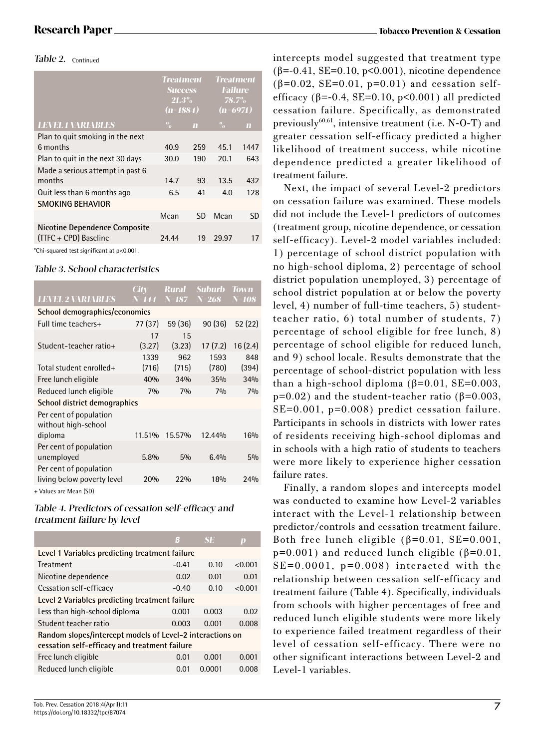#### Table 2. Continued

|                                                                                                                                                       | <b>Treatment</b><br><b>Success</b><br>$21.3\%$<br>$(n=1884)$ |              | <b>Treatment</b><br><b>Failure</b><br>$78.7\%$<br>$(n=6971)$ |                         |
|-------------------------------------------------------------------------------------------------------------------------------------------------------|--------------------------------------------------------------|--------------|--------------------------------------------------------------|-------------------------|
| <b>LEVEL 1 VARIABLES</b>                                                                                                                              | $\%$                                                         | $\mathbf{m}$ | $\%$                                                         | $\overline{\mathbf{m}}$ |
| Plan to quit smoking in the next<br>6 months                                                                                                          | 40.9                                                         | 259          | 45.1                                                         | 1447                    |
| Plan to quit in the next 30 days                                                                                                                      | 30.0                                                         | 190          | 20.1                                                         | 643                     |
| Made a serious attempt in past 6<br>months                                                                                                            | 14.7                                                         | 93           | 13.5                                                         | 432                     |
| Quit less than 6 months ago                                                                                                                           | 6.5                                                          | 41           | 4.0                                                          | 128                     |
| <b>SMOKING BEHAVIOR</b>                                                                                                                               |                                                              |              |                                                              |                         |
|                                                                                                                                                       | Mean                                                         | SD           | Mean                                                         | SD                      |
| <b>Nicotine Dependence Composite</b><br>(TTFC + CPD) Baseline<br>$\sim$ 0.000 $\sim$ 0.000 $\sim$ 0.000 $\sim$ 0.000 $\sim$ 0.000 $\sim$ 0.000 $\sim$ | 24.44                                                        | 19           | 29.97                                                        | 17                      |

\*Chi-squared test significant at p<0.001.

### Table 3. School characteristics

| <b>LEVEL 2 VARIABLES</b>                             | City<br>$N = 144$ | Rural<br>$N = 187$ | Suburb<br>$N=268$ | Town<br>N=108 |  |
|------------------------------------------------------|-------------------|--------------------|-------------------|---------------|--|
| School demographics/economics                        |                   |                    |                   |               |  |
| Full time teachers+                                  | 77 (37)           | 59 (36)            | 90(36)            | 52 (22)       |  |
| Student-teacher ratio+                               | 17<br>(3.27)      | 15<br>(3.23)       | 17(7.2)           | 16(2.4)       |  |
| Total student enrolled+                              | 1339<br>(716)     | 962<br>(715)       | 1593<br>(780)     | 848<br>(394)  |  |
| Free lunch eligible                                  | 40%               | 34%                | 35%               | 34%           |  |
| Reduced lunch eligible                               | 7%                | 70/0               | 70/0              | 70/0          |  |
| School district demographics                         |                   |                    |                   |               |  |
| Per cent of population<br>without high-school        |                   |                    |                   |               |  |
| diploma                                              | 11.51%            | 15.57%             | 12.44%            | 16%           |  |
| Per cent of population<br>unemployed                 | 5.8%              | 5%                 | 6.4%              | $5\%$         |  |
| Per cent of population<br>living below poverty level | 20%               | 22%                | 18%               | 24%           |  |
|                                                      |                   |                    |                   |               |  |

+ Values are Mean (SD)

### Table 4. Predictors of cessation self-efficacy and treatment failure by level

|                                                                                                            | G       | <b>SE</b> | D       |  |  |  |
|------------------------------------------------------------------------------------------------------------|---------|-----------|---------|--|--|--|
| Level 1 Variables predicting treatment failure                                                             |         |           |         |  |  |  |
| <b>Treatment</b>                                                                                           | $-0.41$ | 0.10      | <0.001  |  |  |  |
| Nicotine dependence                                                                                        | 0.02    | 0.01      | 0.01    |  |  |  |
| Cessation self-efficacy                                                                                    | $-0.40$ | 0.10      | < 0.001 |  |  |  |
| Level 2 Variables predicting treatment failure                                                             |         |           |         |  |  |  |
| Less than high-school diploma                                                                              | 0.001   | 0.003     | 0.02    |  |  |  |
| Student teacher ratio                                                                                      | 0.003   | 0.001     | 0.008   |  |  |  |
| Random slopes/intercept models of Level-2 interactions on<br>cessation self-efficacy and treatment failure |         |           |         |  |  |  |
| Free lunch eligible                                                                                        | 0.01    | 0.001     | 0.001   |  |  |  |
| Reduced lunch eligible                                                                                     | 0.01    | 0.0001    | 0.008   |  |  |  |
|                                                                                                            |         |           |         |  |  |  |

intercepts model suggested that treatment type (β=-0.41, SE=0.10, p<0.001), nicotine dependence ( $\beta$ =0.02, SE=0.01, p=0.01) and cessation selfefficacy ( $\beta$ =-0.4, SE=0.10, p<0.001) all predicted cessation failure. Specifically, as demonstrated previously $60,61$ , intensive treatment (i.e. N-O-T) and greater cessation self-efficacy predicted a higher likelihood of treatment success, while nicotine dependence predicted a greater likelihood of treatment failure.

Next, the impact of several Level-2 predictors on cessation failure was examined. These models did not include the Level-1 predictors of outcomes (treatment group, nicotine dependence, or cessation self-efficacy). Level-2 model variables included: 1) percentage of school district population with no high-school diploma, 2) percentage of school district population unemployed, 3) percentage of school district population at or below the poverty level, 4) number of full-time teachers, 5) studentteacher ratio, 6) total number of students, 7) percentage of school eligible for free lunch, 8) percentage of school eligible for reduced lunch, and 9) school locale. Results demonstrate that the percentage of school-district population with less than a high-school diploma ( $\beta$ =0.01, SE=0.003, p=0.02) and the student-teacher ratio ( $β=0.003$ , SE=0.001, p=0.008) predict cessation failure. Participants in schools in districts with lower rates of residents receiving high-school diplomas and in schools with a high ratio of students to teachers were more likely to experience higher cessation failure rates.

Finally, a random slopes and intercepts model was conducted to examine how Level-2 variables interact with the Level-1 relationship between predictor/controls and cessation treatment failure. Both free lunch eligible  $(\beta=0.01, SE=0.001,$  $p=0.001$ ) and reduced lunch eligible ( $\beta=0.01$ ,  $SE=0.0001$ ,  $p=0.008$ ) interacted with the relationship between cessation self-efficacy and treatment failure (Table 4). Specifically, individuals from schools with higher percentages of free and reduced lunch eligible students were more likely to experience failed treatment regardless of their level of cessation self-efficacy. There were no other significant interactions between Level-2 and Level-1 variables.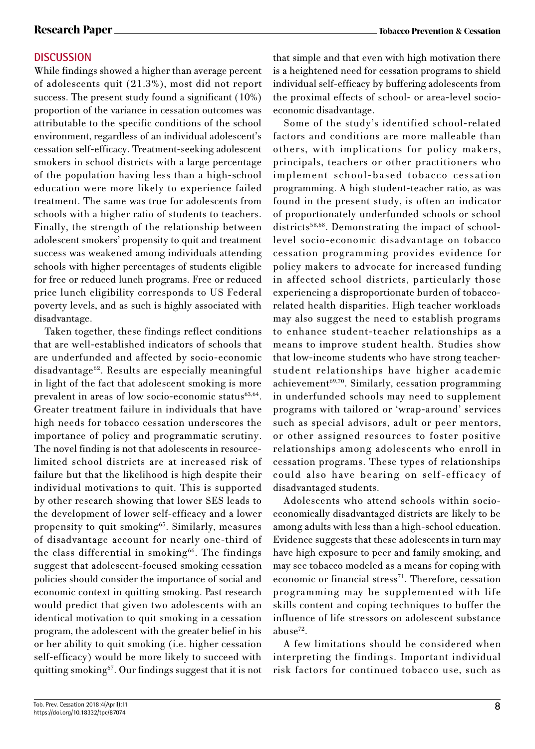## **DISCUSSION**

While findings showed a higher than average percent of adolescents quit (21.3%), most did not report success. The present study found a significant (10%) proportion of the variance in cessation outcomes was attributable to the specific conditions of the school environment, regardless of an individual adolescent's cessation self-efficacy. Treatment-seeking adolescent smokers in school districts with a large percentage of the population having less than a high-school education were more likely to experience failed treatment. The same was true for adolescents from schools with a higher ratio of students to teachers. Finally, the strength of the relationship between adolescent smokers' propensity to quit and treatment success was weakened among individuals attending schools with higher percentages of students eligible for free or reduced lunch programs. Free or reduced price lunch eligibility corresponds to US Federal poverty levels, and as such is highly associated with disadvantage.

Taken together, these findings reflect conditions that are well-established indicators of schools that are underfunded and affected by socio-economic disadvantage62. Results are especially meaningful in light of the fact that adolescent smoking is more prevalent in areas of low socio-economic status $63,64$ . Greater treatment failure in individuals that have high needs for tobacco cessation underscores the importance of policy and programmatic scrutiny. The novel finding is not that adolescents in resourcelimited school districts are at increased risk of failure but that the likelihood is high despite their individual motivations to quit. This is supported by other research showing that lower SES leads to the development of lower self-efficacy and a lower propensity to quit smoking<sup>65</sup>. Similarly, measures of disadvantage account for nearly one-third of the class differential in smoking<sup>66</sup>. The findings suggest that adolescent-focused smoking cessation policies should consider the importance of social and economic context in quitting smoking. Past research would predict that given two adolescents with an identical motivation to quit smoking in a cessation program, the adolescent with the greater belief in his or her ability to quit smoking (i.e. higher cessation self-efficacy) would be more likely to succeed with quitting smoking67. Our findings suggest that it is not

that simple and that even with high motivation there is a heightened need for cessation programs to shield individual self-efficacy by buffering adolescents from the proximal effects of school- or area-level socioeconomic disadvantage.

Some of the study's identified school-related factors and conditions are more malleable than others, with implications for policy makers, principals, teachers or other practitioners who implement school-based tobacco cessation programming. A high student-teacher ratio, as was found in the present study, is often an indicator of proportionately underfunded schools or school districts<sup>58,68</sup>. Demonstrating the impact of schoollevel socio-economic disadvantage on tobacco cessation programming provides evidence for policy makers to advocate for increased funding in affected school districts, particularly those experiencing a disproportionate burden of tobaccorelated health disparities. High teacher workloads may also suggest the need to establish programs to enhance student-teacher relationships as a means to improve student health. Studies show that low-income students who have strong teacherstudent relationships have higher academic achievement<sup>69,70</sup>. Similarly, cessation programming in underfunded schools may need to supplement programs with tailored or 'wrap-around' services such as special advisors, adult or peer mentors, or other assigned resources to foster positive relationships among adolescents who enroll in cessation programs. These types of relationships could also have bearing on self-efficacy of disadvantaged students.

Adolescents who attend schools within socioeconomically disadvantaged districts are likely to be among adults with less than a high-school education. Evidence suggests that these adolescents in turn may have high exposure to peer and family smoking, and may see tobacco modeled as a means for coping with economic or financial stress<sup>71</sup>. Therefore, cessation programming may be supplemented with life skills content and coping techniques to buffer the influence of life stressors on adolescent substance abuse $^{72}$ .

A few limitations should be considered when interpreting the findings. Important individual risk factors for continued tobacco use, such as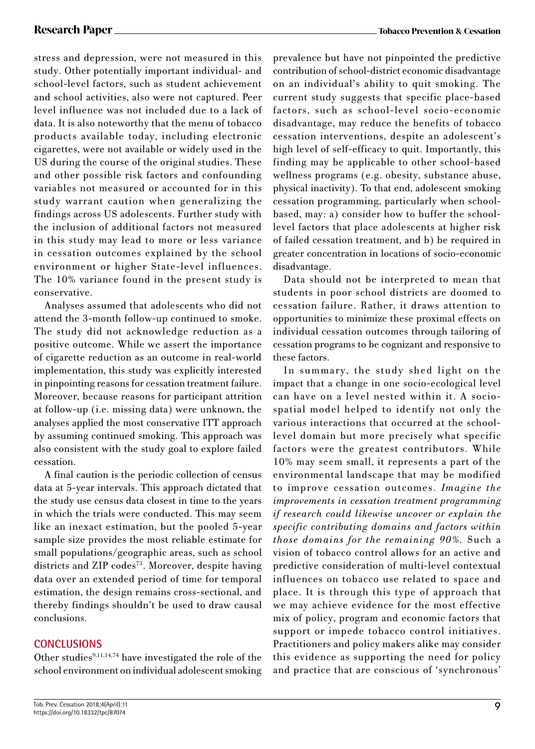stress and depression, were not measured in this study. Other potentially important individual- and school-level factors, such as student achievement and school activities, also were not captured. Peer level influence was not included due to a lack of data. It is also noteworthy that the menu of tobacco products available today, including electronic cigarettes, were not available or widely used in the US during the course of the original studies. These and other possible risk factors and confounding variables not measured or accounted for in this study warrant caution when generalizing the findings across US adolescents. Further study with the inclusion of additional factors not measured in this study may lead to more or less variance in cessation outcomes explained by the school environment or higher State-level influences. The 10% variance found in the present study is conservative.

Analyses assumed that adolescents who did not attend the 3-month follow-up continued to smoke. The study did not acknowledge reduction as a positive outcome. While we assert the importance of cigarette reduction as an outcome in real-world implementation, this study was explicitly interested in pinpointing reasons for cessation treatment failure. Moreover, because reasons for participant attrition at follow-up (i.e. missing data) were unknown, the analyses applied the most conservative ITT approach by assuming continued smoking. This approach was also consistent with the study goal to explore failed cessation.

A final caution is the periodic collection of census data at 5-year intervals. This approach dictated that the study use census data closest in time to the years in which the trials were conducted. This may seem like an inexact estimation, but the pooled 5-year sample size provides the most reliable estimate for small populations/geographic areas, such as school districts and ZIP codes<sup>73</sup>. Moreover, despite having data over an extended period of time for temporal estimation, the design remains cross-sectional, and thereby findings shouldn't be used to draw causal conclusions.

## **CONCLUSIONS**

Other studies<sup>9,11,14,74</sup> have investigated the role of the school environment on individual adolescent smoking prevalence but have not pinpointed the predictive contribution of school-district economic disadvantage on an individual's ability to quit smoking. The current study suggests that specific place-based factors, such as school-level socio-economic disadvantage, may reduce the benefits of tobacco cessation interventions, despite an adolescent's high level of self-efficacy to quit. Importantly, this finding may be applicable to other school-based wellness programs (e.g. obesity, substance abuse, physical inactivity). To that end, adolescent smoking cessation programming, particularly when schoolbased, may: a) consider how to buffer the schoollevel factors that place adolescents at higher risk of failed cessation treatment, and b) be required in greater concentration in locations of socio-economic disadvantage.

Data should not be interpreted to mean that students in poor school districts are doomed to cessation failure. Rather, it draws attention to opportunities to minimize these proximal effects on individual cessation outcomes through tailoring of cessation programs to be cognizant and responsive to these factors.

In summary, the study shed light on the impact that a change in one socio-ecological level can have on a level nested within it. A sociospatial model helped to identify not only the various interactions that occurred at the schoollevel domain but more precisely what specific factors were the greatest contributors. While 10% may seem small, it represents a part of the environmental landscape that may be modified to improve cessation outcomes. *Imagine the improvements in cessation treatment programming if research could likewise uncover or explain the specific contributing domains and factors within those domains for the remaining 90%.* Such a vision of tobacco control allows for an active and predictive consideration of multi-level contextual influences on tobacco use related to space and place. It is through this type of approach that we may achieve evidence for the most effective mix of policy, program and economic factors that support or impede tobacco control initiatives. Practitioners and policy makers alike may consider this evidence as supporting the need for policy and practice that are conscious of 'synchronous'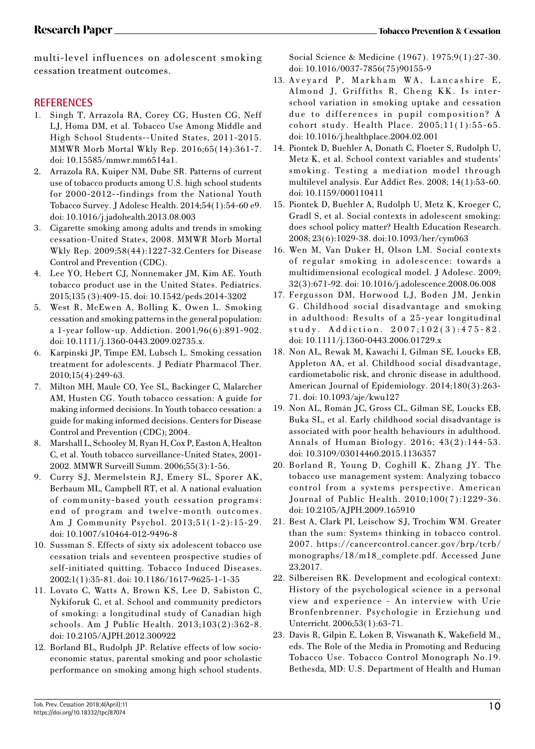multi-level influences on adolescent smoking cessation treatment outcomes.

## **REFERENCES**

- 1. Singh T, Arrazola RA, Corey CG, Husten CG, Neff LJ, Homa DM, et al. Tobacco Use Among Middle and High School Students--United States, 2011-2015. MMWR Morb Mortal Wkly Rep. 2016;65(14):361-7. doi: 10.15585/mmwr.mm6514a1.
- 2. Arrazola RA, Kuiper NM, Dube SR. Patterns of current use of tobacco products among U.S. high school students for 2000-2012--findings from the National Youth Tobacco Survey. J Adolesc Health. 2014;54(1):54-60 e9. doi: 10.1016/j.jadohealth.2013.08.003
- 3. Cigarette smoking among adults and trends in smoking cessation-United States, 2008. MMWR Morb Mortal Wkly Rep. 2009;58(44):1227-32.Centers for Disease Control and Prevention (CDC).
- 4. Lee YO, Hebert CJ, Nonnemaker JM, Kim AE. Youth tobacco product use in the United States. Pediatrics. 2015;135 (3):409-15. doi: 10.1542/peds.2014-3202
- 5. West R, McEwen A, Bolling K, Owen L. Smoking cessation and smoking patterns in the general population: a 1-year follow-up. Addiction. 2001;96(6):891-902. doi: 10.1111/j.1360-0443.2009.02735.x.
- 6. Karpinski JP, Timpe EM, Lubsch L. Smoking cessation treatment for adolescents. J Pediatr Pharmacol Ther. 2010;15(4):249-63.
- 7. Milton MH, Maule CO, Yee SL, Backinger C, Malarcher AM, Husten CG. Youth tobacco cessation: A guide for making informed decisions. In Youth tobacco cessation: a guide for making informed decisions. Centers for Disease Control and Prevention (CDC); 2004.
- 8. Marshall L, Schooley M, Ryan H, Cox P, Easton A, Healton C, et al. Youth tobacco surveillance-United States, 2001- 2002. MMWR Surveill Summ. 2006;55(3):1-56.
- 9. Curry SJ, Mermelstein RJ, Emery SL, Sporer AK, Berbaum ML, Campbell RT, et al. A national evaluation of community-based youth cessation programs: end of program and twelve-month outcomes. Am J Community Psychol. 2013;51(1-2):15-29. doi: 10.1007/s10464-012-9496-8
- 10. Sussman S. Effects of sixty six adolescent tobacco use cessation trials and seventeen prospective studies of self-initiated quitting. Tobacco Induced Diseases. 2002;1(1):35-81. doi: 10.1186/1617-9625-1-1-35
- 11. Lovato C, Watts A, Brown KS, Lee D, Sabiston C, Nykiforuk C, et al. School and community predictors of smoking: a longitudinal study of Canadian high schools. Am J Public Health. 2013;103(2):362-8. doi: 10.2105/AJPH.2012.300922
- 12. Borland BL, Rudolph JP. Relative effects of low socioeconomic status, parental smoking and poor scholastic performance on smoking among high school students.

Social Science & Medicine (1967). 1975;9(1):27-30. doi: 10.1016/0037-7856(75)90155-9

- 13. Aveyard P, Markham WA, Lancashire E, Almond J, Griffiths R, Cheng KK. Is interschool variation in smoking uptake and cessation due to differences in pupil composition? A cohort study. Health Place. 2005;11(1):55-65. doi: 10.1016/j.healthplace.2004.02.001
- 14. Piontek D, Buehler A, Donath C, Floeter S, Rudolph U, Metz K, et al. School context variables and students' smoking. Testing a mediation model through multilevel analysis. Eur Addict Res. 2008; 14(1):53-60. doi: 10.1159/000110411
- 15. Piontek D, Buehler A, Rudolph U, Metz K, Kroeger C, Gradl S, et al. Social contexts in adolescent smoking: does school policy matter? Health Education Research. 2008; 23(6):1029-38. doi:10.1093/her/cym063
- 16. Wen M, Van Duker H, Olson LM. Social contexts of regular smoking in adolescence: towards a multidimensional ecological model. J Adolesc. 2009; 32(3):671-92. doi: 10.1016/j.adolescence.2008.06.008
- 17. Fergusson DM, Horwood LJ, Boden JM, Jenkin G. Childhood social disadvantage and smoking in adulthood: Results of a 25-year longitudinal study. Addiction. 2007;102(3):475-82. doi: 10.1111/j.1360-0443.2006.01729.x
- 18. Non AL, Rewak M, Kawachi I, Gilman SE, Loucks EB, Appleton AA, et al. Childhood social disadvantage, cardiometabolic risk, and chronic disease in adulthood. American Journal of Epidemiology. 2014;180(3):263- 71. doi: 10.1093/aje/kwu127
- 19. Non AL, Román JC, Gross CL, Gilman SE, Loucks EB, Buka SL, et al. Early childhood social disadvantage is associated with poor health behaviours in adulthood. Annals of Human Biology. 2016; 43(2):144-53. doi: 10.3109/03014460.2015.1136357
- 20. Borland R, Young D, Coghill K, Zhang JY. The tobacco use management system: Analyzing tobacco control from a systems perspective. American Journal of Public Health. 2010;100(7):1229-36. doi: 10.2105/AJPH.2009.165910
- 21. Best A, Clark PI, Leischow SJ, Trochim WM. Greater than the sum: Systems thinking in tobacco control. 2007. https://cancercontrol.cancer.gov/brp/tcrb/ monographs/18/m18\_complete.pdf. Accessed June 23,2017.
- 22. Silbereisen RK. Development and ecological context: History of the psychological science in a personal view and experience - An interview with Urie Bronfenbrenner. Psychologie in Erziehung und Unterricht. 2006;53(1):63-71.
- 23. Davis R, Gilpin E, Loken B, Viswanath K, Wakefield M., eds. The Role of the Media in Promoting and Reducing Tobacco Use. Tobacco Control Monograph No.19. Bethesda, MD: U.S. Department of Health and Human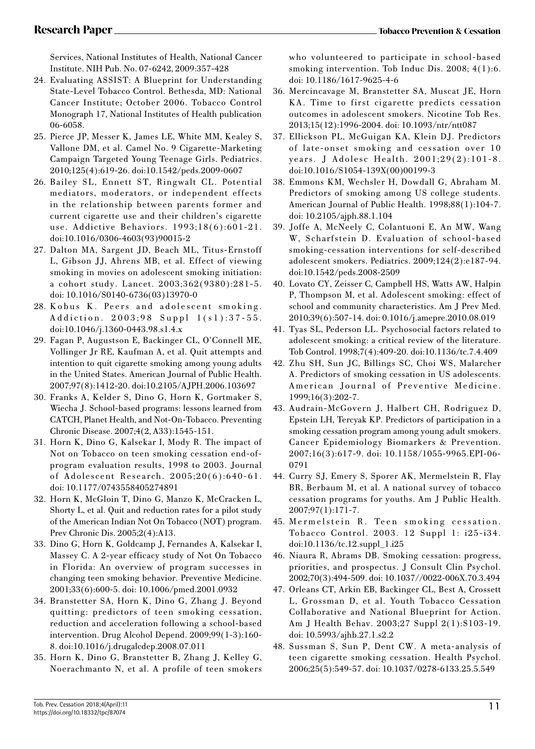Services, National Institutes of Health, National Cancer Institute. NIH Pub. No. 07-6242, 2009:357-428

- 24. Evaluating ASSIST: A Blueprint for Understanding State-Level Tobacco Control. Bethesda, MD: National Cancer Institute; October 2006. Tobacco Control Monograph 17, National Institutes of Health publication 06-6058.
- 25. Pierce JP, Messer K, James LE, White MM, Kealey S, Vallone DM, et al. Camel No. 9 Cigarette-Marketing Campaign Targeted Young Teenage Girls. Pediatrics. 2010;125(4):619-26. doi:10.1542/peds.2009-0607
- 26. Bailey SL, Ennett ST, Ringwalt CL. Potential mediators, moderators, or independent effects in the relationship between parents former and current cigarette use and their children's cigarette use. Addictive Behaviors. 1993;18(6):601-21. doi:10.1016/0306-4603(93)90015-2
- 27. Dalton MA, Sargent JD, Beach ML, Titus-Ernstoff L, Gibson JJ, Ahrens MB, et al. Effect of viewing smoking in movies on adolescent smoking initiation: a cohort study. Lancet. 2003;362(9380):281-5. doi: 10.1016/S0140-6736(03)13970-0
- 28. Kobus K. Peers and adolescent smoking. Addiction. 2003;98 Suppl 1(s1):37-55. doi:10.1046/j.1360-0443.98.s1.4.x
- 29. Fagan P, Augustson E, Backinger CL, O'Connell ME, Vollinger Jr RE, Kaufman A, et al. Quit attempts and intention to quit cigarette smoking among young adults in the United States. American Journal of Public Health. 2007;97(8):1412-20. doi:10.2105/AJPH.2006.103697
- 30. Franks A, Kelder S, Dino G, Horn K, Gortmaker S, Wiecha J. School-based programs: lessons learned from CATCH, Planet Health, and Not-On-Tobacco. Preventing Chronic Disease. 2007;4(2, A33):1545-151.
- 31. Horn K, Dino G, Kalsekar I, Mody R. The impact of Not on Tobacco on teen smoking cessation end-ofprogram evaluation results, 1998 to 2003. Journal of Adolescent Research. 2005;20(6):640-61. doi: 10.1177/0743558405274891
- 32. Horn K, McGloin T, Dino G, Manzo K, McCracken L, Shorty L, et al. Quit and reduction rates for a pilot study of the American Indian Not On Tobacco (NOT) program. Prev Chronic Dis. 2005;2(4):A13.
- 33. Dino G, Horn K, Goldcamp J, Fernandes A, Kalsekar I, Massey C. A 2-year efficacy study of Not On Tobacco in Florida: An overview of program successes in changing teen smoking behavior. Preventive Medicine. 2001;33(6):600-5. doi: 10.1006/pmed.2001.0932
- 34. Branstetter SA, Horn K, Dino G, Zhang J. Beyond quitting: predictors of teen smoking cessation, reduction and acceleration following a school-based intervention. Drug Alcohol Depend. 2009;99(1-3):160- 8. doi:10.1016/j.drugalcdep.2008.07.011
- 35. Horn K, Dino G, Branstetter B, Zhang J, Kelley G, Noerachmanto N, et al. A profile of teen smokers

who volunteered to participate in school-based smoking intervention. Tob Induc Dis. 2008; 4(1):6. doi: 10.1186/1617-9625-4-6

- 36. Mercincavage M, Branstetter SA, Muscat JE, Horn KA. Time to first cigarette predicts cessation outcomes in adolescent smokers. Nicotine Tob Res. 2013;15(12):1996-2004. doi: 10.1093/ntr/ntt087
- 37. Ellickson PL, McGuigan KA, Klein DJ. Predictors of late-onset smoking and cessation over 10 years. J Adolesc Health. 2001;29(2):101-8. doi:10.1016/S1054-139X(00)00199-3
- 38. Emmons KM, Wechsler H, Dowdall G, Abraham M. Predictors of smoking among US college students. American Journal of Public Health. 1998;88(1):104-7. doi: 10.2105/ajph.88.1.104
- 39. Joffe A, McNeely C, Colantuoni E, An MW, Wang W, Scharfstein D. Evaluation of school-based smoking-cessation interventions for self-described adolescent smokers. Pediatrics. 2009;124(2):e187-94. doi:10.1542/peds.2008-2509
- 40. Lovato CY, Zeisser C, Campbell HS, Watts AW, Halpin P, Thompson M, et al. Adolescent smoking: effect of school and community characteristics. Am J Prev Med. 2010;39(6):507-14. doi: 0.1016/j.amepre.2010.08.019
- 41. Tyas SL, Pederson LL. Psychosocial factors related to adolescent smoking: a critical review of the literature. Tob Control. 1998;7(4):409-20. doi:10.1136/tc.7.4.409
- 42. Zhu SH, Sun JC, Billings SC, Choi WS, Malarcher A. Predictors of smoking cessation in US adolescents. American Journal of Preventive Medicine. 1999;16(3):202-7.
- 43. Audrain-McGovern J, Halbert CH, Rodriguez D, Epstein LH, Tercyak KP. Predictors of participation in a smoking cessation program among young adult smokers. Cancer Epidemiology Biomarkers & Prevention. 2007;16(3):617-9. doi: 10.1158/1055-9965.EPI-06- 0791
- 44. Curry SJ, Emery S, Sporer AK, Mermelstein R, Flay BR, Berbaum M, et al. A national survey of tobacco cessation programs for youths. Am J Public Health. 2007;97(1):171-7.
- 45. Mermelstein R. Teen smoking cessation. Tobacco Control. 2003. 12 Suppl 1: i25-i34. doi:10.1136/tc.12.suppl\_1.i25
- 46. Niaura R, Abrams DB. Smoking cessation: progress, priorities, and prospectus. J Consult Clin Psychol. 2002;70(3):494-509. doi: 10.1037//0022-006X.70.3.494
- 47. Orleans CT, Arkin EB, Backinger CL, Best A, Crossett L, Grossman D, et al. Youth Tobacco Cessation Collaborative and National Blueprint for Action. Am J Health Behav. 2003;27 Suppl 2(1):S103-19. doi: 10.5993/ajhb.27.1.s2.2
- 48. Sussman S, Sun P, Dent CW. A meta-analysis of teen cigarette smoking cessation. Health Psychol. 2006;25(5):549-57. doi: 10.1037/0278-6133.25.5.549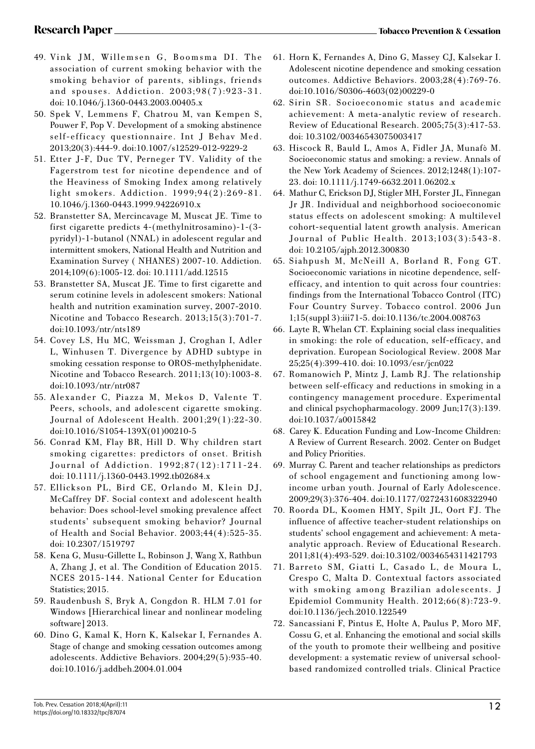- 49. Vink JM, Willemsen G, Boomsma DI. The association of current smoking behavior with the smoking behavior of parents, siblings, friends and spouses. Addiction. 2003;98(7):923-31. doi: 10.1046/j.1360-0443.2003.00405.x
- 50. Spek V, Lemmens F, Chatrou M, van Kempen S, Pouwer F, Pop V. Development of a smoking abstinence self-efficacy questionnaire. Int J Behav Med. 2013;20(3):444-9. doi:10.1007/s12529-012-9229-2
- 51. Etter J-F, Duc TV, Perneger TV. Validity of the Fagerstrom test for nicotine dependence and of the Heaviness of Smoking Index among relatively light smokers. Addiction. 1999;94(2):269-81. 10.1046/j.1360-0443.1999.94226910.x
- 52. Branstetter SA, Mercincavage M, Muscat JE. Time to first cigarette predicts 4-(methylnitrosamino)-1-(3 pyridyl)-1-butanol (NNAL) in adolescent regular and intermittent smokers, National Health and Nutrition and Examination Survey ( NHANES) 2007-10. Addiction. 2014;109(6):1005-12. doi: 10.1111/add.12515
- 53. Branstetter SA, Muscat JE. Time to first cigarette and serum cotinine levels in adolescent smokers: National health and nutrition examination survey, 2007-2010. Nicotine and Tobacco Research. 2013;15(3):701-7. doi:10.1093/ntr/nts189
- 54. Covey LS, Hu MC, Weissman J, Croghan I, Adler L, Winhusen T. Divergence by ADHD subtype in smoking cessation response to OROS-methylphenidate. Nicotine and Tobacco Research. 2011;13(10):1003-8. doi:10.1093/ntr/ntr087
- 55. Alexander C, Piazza M, Mekos D, Valente T. Peers, schools, and adolescent cigarette smoking. Journal of Adolescent Health. 2001;29(1):22-30. doi:10.1016/S1054-139X(01)00210-5
- 56. Conrad KM, Flay BR, Hill D. Why children start smoking cigarettes: predictors of onset. British Journal of Addiction. 1992;87(12):1711-24. doi: 10.1111/j.1360-0443.1992.tb02684.x
- 57. Ellickson PL, Bird CE, Orlando M, Klein DJ, McCaffrey DF. Social context and adolescent health behavior: Does school-level smoking prevalence affect students' subsequent smoking behavior? Journal of Health and Social Behavior. 2003;44(4):525-35. doi: 10.2307/1519797
- 58. Kena G, Musu-Gillette L, Robinson J, Wang X, Rathbun A, Zhang J, et al. The Condition of Education 2015. NCES 2015-144. National Center for Education Statistics; 2015.
- 59. Raudenbush S, Bryk A, Congdon R. HLM 7.01 for Windows [Hierarchical linear and nonlinear modeling software] 2013.
- 60. Dino G, Kamal K, Horn K, Kalsekar I, Fernandes A. Stage of change and smoking cessation outcomes among adolescents. Addictive Behaviors. 2004;29(5):935-40. doi:10.1016/j.addbeh.2004.01.004
- 61. Horn K, Fernandes A, Dino G, Massey CJ, Kalsekar I. Adolescent nicotine dependence and smoking cessation outcomes. Addictive Behaviors. 2003;28(4):769-76. doi:10.1016/S0306-4603(02)00229-0
- 62. Sirin SR. Socioeconomic status and academic achievement: A meta-analytic review of research. Review of Educational Research. 2005;75(3):417-53. doi: 10.3102/00346543075003417
- 63. Hiscock R, Bauld L, Amos A, Fidler JA, Munafò M. Socioeconomic status and smoking: a review. Annals of the New York Academy of Sciences. 2012;1248(1):107- 23. doi: 10.1111/j.1749-6632.2011.06202.x
- 64. Mathur C, Erickson DJ, Stigler MH, Forster JL, Finnegan Jr JR. Individual and neighborhood socioeconomic status effects on adolescent smoking: A multilevel cohort-sequential latent growth analysis. American Journal of Public Health. 2013;103(3):543-8. doi: 10.2105/ajph.2012.300830
- 65. Siahpush M, McNeill A, Borland R, Fong GT. Socioeconomic variations in nicotine dependence, selfefficacy, and intention to quit across four countries: findings from the International Tobacco Control (ITC) Four Country Survey. Tobacco control. 2006 Jun 1;15(suppl 3):iii71-5. doi:10.1136/tc.2004.008763
- 66. Layte R, Whelan CT. Explaining social class inequalities in smoking: the role of education, self-efficacy, and deprivation. European Sociological Review. 2008 Mar 25;25(4):399-410. doi: 10.1093/esr/jcn022
- 67. Romanowich P, Mintz J, Lamb RJ. The relationship between self-efficacy and reductions in smoking in a contingency management procedure. Experimental and clinical psychopharmacology. 2009 Jun;17(3):139. doi:10.1037/a0015842
- 68. Carey K. Education Funding and Low-Income Children: A Review of Current Research. 2002. Center on Budget and Policy Priorities.
- 69. Murray C. Parent and teacher relationships as predictors of school engagement and functioning among lowincome urban youth. Journal of Early Adolescence. 2009;29(3):376-404. doi:10.1177/0272431608322940
- 70. Roorda DL, Koomen HMY, Spilt JL, Oort FJ. The influence of affective teacher-student relationships on students' school engagement and achievement: A metaanalytic approach. Review of Educational Research. 2011;81(4):493-529. doi:10.3102/0034654311421793
- 71. Barreto SM, Giatti L, Casado L, de Moura L, Crespo C, Malta D. Contextual factors associated with smoking among Brazilian adolescents. J Epidemiol Community Health. 2012;66(8):723-9. doi:10.1136/jech.2010.122549
- 72. Sancassiani F, Pintus E, Holte A, Paulus P, Moro MF, Cossu G, et al. Enhancing the emotional and social skills of the youth to promote their wellbeing and positive development: a systematic review of universal schoolbased randomized controlled trials. Clinical Practice